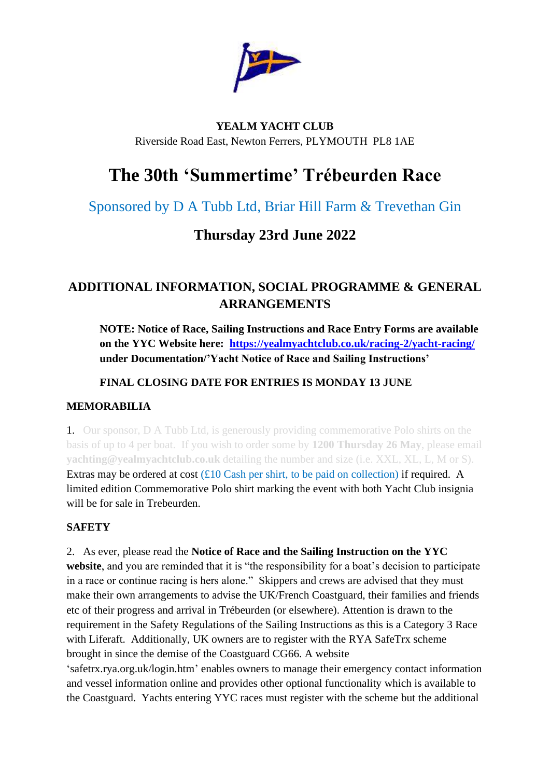

## **YEALM YACHT CLUB** Riverside Road East, Newton Ferrers, PLYMOUTH PL8 1AE

# **The 30th 'Summertime' Trébeurden Race**

# Sponsored by D A Tubb Ltd, Briar Hill Farm & Trevethan Gin

# **Thursday 23rd June 2022**

## **ADDITIONAL INFORMATION, SOCIAL PROGRAMME & GENERAL ARRANGEMENTS**

**NOTE: Notice of Race, Sailing Instructions and Race Entry Forms are available on the YYC Website here: [https://yealmyachtclub.co.uk/racing-2/yacht-racing/](about:blank) under Documentation/'Yacht Notice of Race and Sailing Instructions'**

## **FINAL CLOSING DATE FOR ENTRIES IS MONDAY 13 JUNE**

## **MEMORABILIA**

1. Our sponsor, D A Tubb Ltd, is generously providing commemorative Polo shirts on the basis of up to 4 per boat. If you wish to order some by **1200 Thursday 26 May**, please email **yachting@yealmyachtclub.co.uk** detailing the number and size (i.e. XXL, XL, L, M or S). Extras may be ordered at cost  $(£10$  Cash per shirt, to be paid on collection) if required. A limited edition Commemorative Polo shirt marking the event with both Yacht Club insignia will be for sale in Trebeurden.

## **SAFETY**

2. As ever, please read the **Notice of Race and the Sailing Instruction on the YYC website**, and you are reminded that it is "the responsibility for a boat's decision to participate in a race or continue racing is hers alone." Skippers and crews are advised that they must make their own arrangements to advise the UK/French Coastguard, their families and friends etc of their progress and arrival in Trébeurden (or elsewhere). Attention is drawn to the requirement in the Safety Regulations of the Sailing Instructions as this is a Category 3 Race with Liferaft. Additionally, UK owners are to register with the RYA SafeTrx scheme brought in since the demise of the Coastguard CG66. A website 'safetrx.rya.org.uk/login.htm' enables owners to manage their emergency contact information and vessel information online and provides other optional functionality which is available to the Coastguard. Yachts entering YYC races must register with the scheme but the additional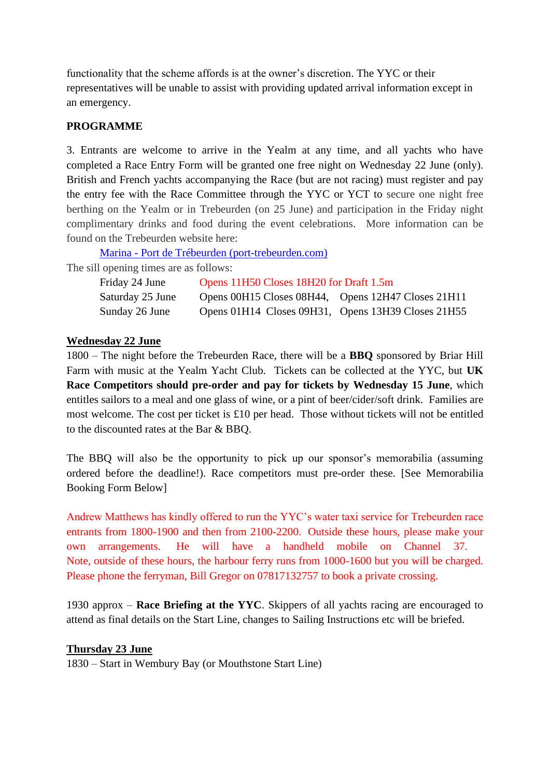functionality that the scheme affords is at the owner's discretion. The YYC or their representatives will be unable to assist with providing updated arrival information except in an emergency.

#### **PROGRAMME**

3. Entrants are welcome to arrive in the Yealm at any time, and all yachts who have completed a Race Entry Form will be granted one free night on Wednesday 22 June (only). British and French yachts accompanying the Race (but are not racing) must register and pay the entry fee with the Race Committee through the YYC or YCT to secure one night free berthing on the Yealm or in Trebeurden (on 25 June) and participation in the Friday night complimentary drinks and food during the event celebrations. More information can be found on the Trebeurden website here:

Marina - Port de Trébeurden [\(port-trebeurden.com\)](about:blank)

The sill opening times are as follows:

| Friday 24 June   | Opens 11H50 Closes 18H20 for Draft 1.5m            |  |
|------------------|----------------------------------------------------|--|
| Saturday 25 June | Opens 00H15 Closes 08H44, Opens 12H47 Closes 21H11 |  |
| Sunday 26 June   | Opens 01H14 Closes 09H31, Opens 13H39 Closes 21H55 |  |

#### **Wednesday 22 June**

1800 – The night before the Trebeurden Race, there will be a **BBQ** sponsored by Briar Hill Farm with music at the Yealm Yacht Club. Tickets can be collected at the YYC, but **UK Race Competitors should pre-order and pay for tickets by Wednesday 15 June**, which entitles sailors to a meal and one glass of wine, or a pint of beer/cider/soft drink. Families are most welcome. The cost per ticket is £10 per head. Those without tickets will not be entitled to the discounted rates at the Bar & BBQ.

The BBQ will also be the opportunity to pick up our sponsor's memorabilia (assuming ordered before the deadline!). Race competitors must pre-order these. [See Memorabilia Booking Form Below]

Andrew Matthews has kindly offered to run the YYC's water taxi service for Trebeurden race entrants from 1800-1900 and then from 2100-2200. Outside these hours, please make your own arrangements. He will have a handheld mobile on Channel 37. Note, outside of these hours, the harbour ferry runs from 1000-1600 but you will be charged. Please phone the ferryman, Bill Gregor on 07817132757 to book a private crossing.

1930 approx – **Race Briefing at the YYC**. Skippers of all yachts racing are encouraged to attend as final details on the Start Line, changes to Sailing Instructions etc will be briefed.

#### **Thursday 23 June**

1830 – Start in Wembury Bay (or Mouthstone Start Line)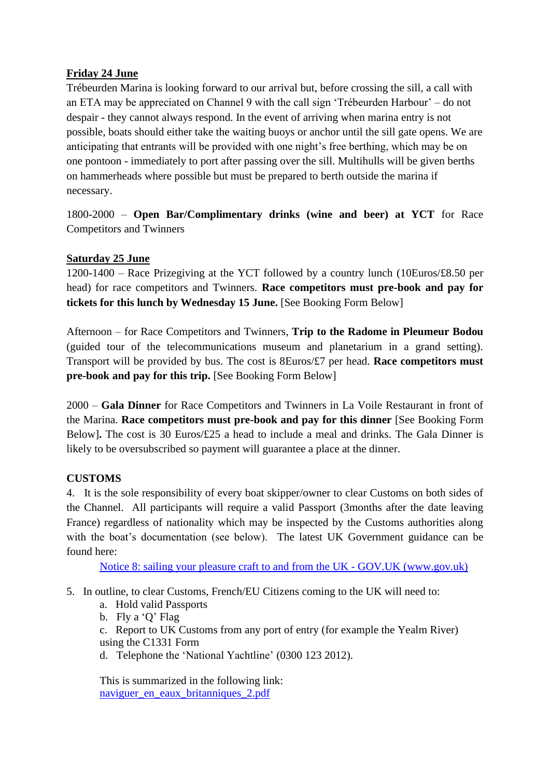### **Friday 24 June**

Trébeurden Marina is looking forward to our arrival but, before crossing the sill, a call with an ETA may be appreciated on Channel 9 with the call sign 'Trébeurden Harbour' – do not despair - they cannot always respond. In the event of arriving when marina entry is not possible, boats should either take the waiting buoys or anchor until the sill gate opens. We are anticipating that entrants will be provided with one night's free berthing, which may be on one pontoon - immediately to port after passing over the sill. Multihulls will be given berths on hammerheads where possible but must be prepared to berth outside the marina if necessary.

1800-2000 – **Open Bar/Complimentary drinks (wine and beer) at YCT** for Race Competitors and Twinners

### **Saturday 25 June**

1200-1400 – Race Prizegiving at the YCT followed by a country lunch (10Euros/£8.50 per head) for race competitors and Twinners. **Race competitors must pre-book and pay for tickets for this lunch by Wednesday 15 June.** [See Booking Form Below]

Afternoon – for Race Competitors and Twinners, **Trip to the Radome in Pleumeur Bodou** (guided tour of the telecommunications museum and planetarium in a grand setting). Transport will be provided by bus. The cost is 8Euros/£7 per head. **Race competitors must pre-book and pay for this trip.** [See Booking Form Below]

2000 – **Gala Dinner** for Race Competitors and Twinners in La Voile Restaurant in front of the Marina. **Race competitors must pre-book and pay for this dinner** [See Booking Form Below]**.** The cost is 30 Euros/£25 a head to include a meal and drinks. The Gala Dinner is likely to be oversubscribed so payment will guarantee a place at the dinner.

## **CUSTOMS**

4. It is the sole responsibility of every boat skipper/owner to clear Customs on both sides of the Channel. All participants will require a valid Passport (3months after the date leaving France) regardless of nationality which may be inspected by the Customs authorities along with the boat's documentation (see below). The latest UK Government guidance can be found here:

Notice 8: sailing your pleasure craft to and from the UK - GOV.UK [\(www.gov.uk\)](about:blank)

- 5. In outline, to clear Customs, French/EU Citizens coming to the UK will need to:
	- a. Hold valid Passports
	- b. Fly a 'Q' Flag

c. Report to UK Customs from any port of entry (for example the Yealm River) using the C1331 Form

d. Telephone the 'National Yachtline' (0300 123 2012).

This is summarized in the following link: [naviguer\\_en\\_eaux\\_britanniques\\_2.pdf](about:blank)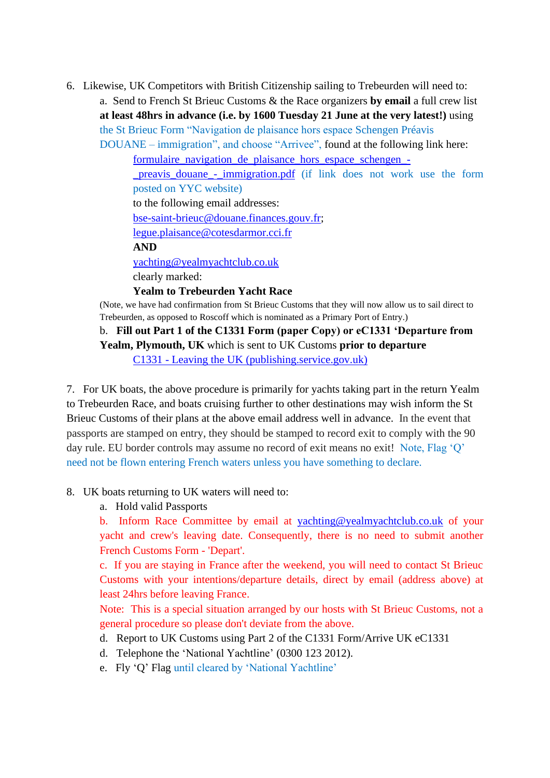6. Likewise, UK Competitors with British Citizenship sailing to Trebeurden will need to: a. Send to French St Brieuc Customs & the Race organizers **by email** a full crew list **at least 48hrs in advance (i.e. by 1600 Tuesday 21 June at the very latest!)** using the St Brieuc Form "Navigation de plaisance hors espace Schengen Préavis DOUANE – immigration", and choose "Arrivee", found at the following link here:

> [formulaire\\_navigation\\_de\\_plaisance\\_hors\\_espace\\_schengen\\_](about:blank) preavis douane - immigration.pdf (if link does not work use the form posted on YYC website) to the following email addresses: [bse-saint-brieuc@douane.finances.gouv.fr;](mailto:bse-saint-brieuc@douane.finances.gouv.fr) [legue.plaisance@cotesdarmor.cci.fr](mailto:legue.plaisance@cotesdarmor.cci.fr) **AND** [yachting@yealmyachtclub.co.uk](about:blank)

clearly marked:

#### **Yealm to Trebeurden Yacht Race**

(Note, we have had confirmation from St Brieuc Customs that they will now allow us to sail direct to Trebeurden, as opposed to Roscoff which is nominated as a Primary Port of Entry.)

### b. **Fill out Part 1 of the C1331 Form (paper Copy) or eC1331 'Departure from Yealm, Plymouth, UK** which is sent to UK Customs **prior to departure** C1331 - [Leaving the UK \(publishing.service.gov.uk\)](about:blank)

7. For UK boats, the above procedure is primarily for yachts taking part in the return Yealm to Trebeurden Race, and boats cruising further to other destinations may wish inform the St Brieuc Customs of their plans at the above email address well in advance. In the event that passports are stamped on entry, they should be stamped to record exit to comply with the 90 day rule. EU border controls may assume no record of exit means no exit! Note, Flag 'Q' need not be flown entering French waters unless you have something to declare.

#### 8. UK boats returning to UK waters will need to:

a. Hold valid Passports

b. Inform Race Committee by email at [yachting@yealmyachtclub.co.uk](mailto:yachting@yealmyachtclub.co.uk) of your yacht and crew's leaving date. Consequently, there is no need to submit another French Customs Form - 'Depart'.

c. If you are staying in France after the weekend, you will need to contact St Brieuc Customs with your intentions/departure details, direct by email (address above) at least 24hrs before leaving France.

Note: This is a special situation arranged by our hosts with St Brieuc Customs, not a general procedure so please don't deviate from the above.

- d. Report to UK Customs using Part 2 of the C1331 Form/Arrive UK eC1331
- d. Telephone the 'National Yachtline' (0300 123 2012).
- e. Fly 'Q' Flag until cleared by 'National Yachtline'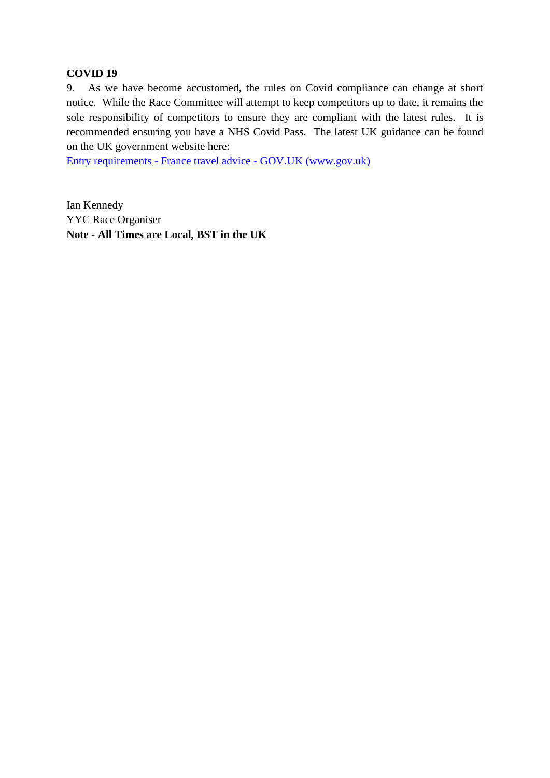#### **COVID 19**

9. As we have become accustomed, the rules on Covid compliance can change at short notice. While the Race Committee will attempt to keep competitors up to date, it remains the sole responsibility of competitors to ensure they are compliant with the latest rules. It is recommended ensuring you have a NHS Covid Pass. The latest UK guidance can be found on the UK government website here:

Entry requirements - France travel advice - [GOV.UK \(www.gov.uk\)](about:blank)

Ian Kennedy YYC Race Organiser **Note - All Times are Local, BST in the UK**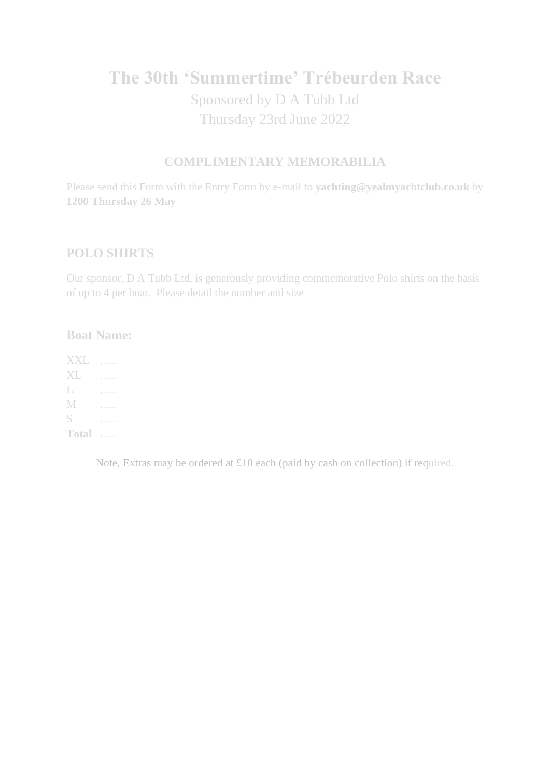# **The 30th 'Summertime' Trébeurden Race** Sponsored by D A Tubb Ltd Thursday 23rd June 2022

## **COMPLIMENTARY MEMORABILIA**

Please send this Form with the Entry Form by e-mail to **yachting@yealmyachtclub.co.uk** by **1200 Thursday 26 May**

## **POLO SHIRTS**

Our sponsor, D A Tubb Ltd, is generously providing commemorative Polo shirts on the basis of up to 4 per boat. Please detail the number and size

## **Boat Name:**

XXL ….. XL ….. L ….. M ….. S ….. **Total** …..

Note, Extras may be ordered at £10 each (paid by cash on collection) if required.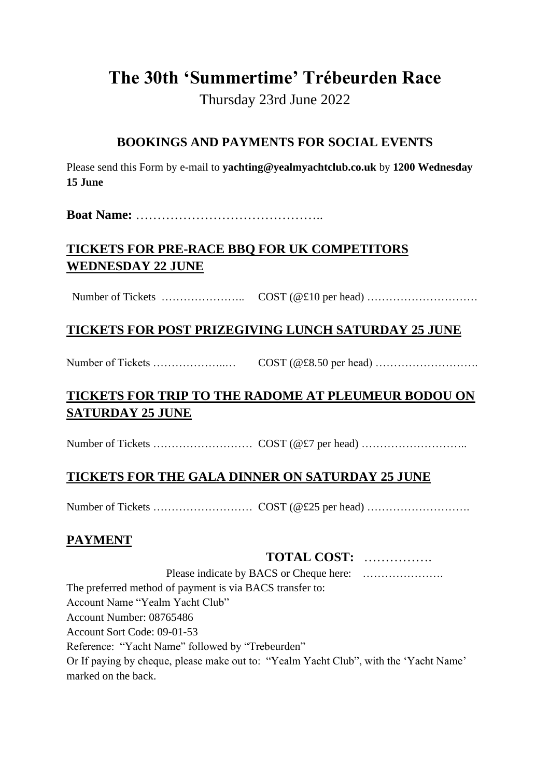# **The 30th 'Summertime' Trébeurden Race**

Thursday 23rd June 2022

## **BOOKINGS AND PAYMENTS FOR SOCIAL EVENTS**

Please send this Form by e-mail to **yachting@yealmyachtclub.co.uk** by **1200 Wednesday 15 June**

**Boat Name:** ……………………………………..

## **TICKETS FOR PRE-RACE BBQ FOR UK COMPETITORS WEDNESDAY 22 JUNE**

Number of Tickets ………………….. COST (@£10 per head) …………………………

## **TICKETS FOR POST PRIZEGIVING LUNCH SATURDAY 25 JUNE**

Number of Tickets ………………..… COST (@£8.50 per head) ……………………….

## **TICKETS FOR TRIP TO THE RADOME AT PLEUMEUR BODOU ON SATURDAY 25 JUNE**

Number of Tickets ……………………… COST (@£7 per head) ………………………..

## **TICKETS FOR THE GALA DINNER ON SATURDAY 25 JUNE**

Number of Tickets ……………………… COST (@£25 per head) ……………………….

## **PAYMENT**

## **TOTAL COST:** …………….

Please indicate by BACS or Cheque here: …………………. The preferred method of payment is via BACS transfer to: Account Name "Yealm Yacht Club" Account Number: 08765486 Account Sort Code: 09-01-53 Reference: "Yacht Name" followed by "Trebeurden" Or If paying by cheque, please make out to: "Yealm Yacht Club", with the 'Yacht Name' marked on the back.